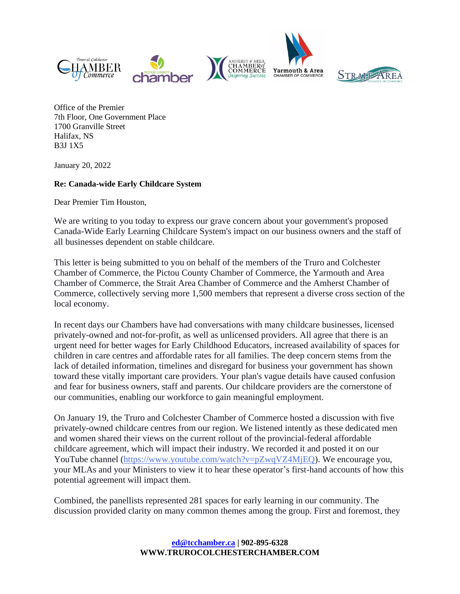



Office of the Premier 7th Floor, One Government Place 1700 Granville Street Halifax, NS B3J 1X5

January 20, 2022

## **Re: Canada-wide Early Childcare System**

Dear Premier Tim Houston,

We are writing to you today to express our grave concern about your government's proposed Canada-Wide Early Learning Childcare System's impact on our business owners and the staff of all businesses dependent on stable childcare.

This letter is being submitted to you on behalf of the members of the Truro and Colchester Chamber of Commerce, the Pictou County Chamber of Commerce, the Yarmouth and Area Chamber of Commerce, the Strait Area Chamber of Commerce and the Amherst Chamber of Commerce, collectively serving more 1,500 members that represent a diverse cross section of the local economy.

In recent days our Chambers have had conversations with many childcare businesses, licensed privately-owned and not-for-profit, as well as unlicensed providers. All agree that there is an urgent need for better wages for Early Childhood Educators, increased availability of spaces for children in care centres and affordable rates for all families. The deep concern stems from the lack of detailed information, timelines and disregard for business your government has shown toward these vitally important care providers. Your plan's vague details have caused confusion and fear for business owners, staff and parents. Our childcare providers are the cornerstone of our communities, enabling our workforce to gain meaningful employment.

On January 19, the Truro and Colchester Chamber of Commerce hosted a discussion with five privately-owned childcare centres from our region. We listened intently as these dedicated men and women shared their views on the current rollout of the provincial-federal affordable childcare agreement, which will impact their industry. We recorded it and posted it on our YouTube channel [\(https://www.youtube.com/watch?v=pZwqVZ4MjEQ\)](https://www.youtube.com/watch?v=pZwqVZ4MjEQ). We encourage you, your MLAs and your Ministers to view it to hear these operator's first-hand accounts of how this potential agreement will impact them.

Combined, the panellists represented 281 spaces for early learning in our community. The discussion provided clarity on many common themes among the group. First and foremost, they

> **[ed@tcchamber.ca](mailto:ed@tcchamber.ca) | 902-895-6328 WWW.TRUROCOLCHESTERCHAMBER.COM**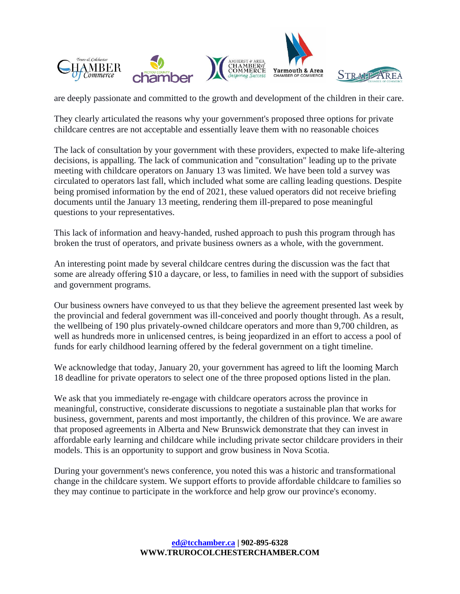



are deeply passionate and committed to the growth and development of the children in their care.

They clearly articulated the reasons why your government's proposed three options for private childcare centres are not acceptable and essentially leave them with no reasonable choices

The lack of consultation by your government with these providers, expected to make life-altering decisions, is appalling. The lack of communication and "consultation" leading up to the private meeting with childcare operators on January 13 was limited. We have been told a survey was circulated to operators last fall, which included what some are calling leading questions. Despite being promised information by the end of 2021, these valued operators did not receive briefing documents until the January 13 meeting, rendering them ill-prepared to pose meaningful questions to your representatives.

This lack of information and heavy-handed, rushed approach to push this program through has broken the trust of operators, and private business owners as a whole, with the government.

An interesting point made by several childcare centres during the discussion was the fact that some are already offering \$10 a daycare, or less, to families in need with the support of subsidies and government programs.

Our business owners have conveyed to us that they believe the agreement presented last week by the provincial and federal government was ill-conceived and poorly thought through. As a result, the wellbeing of 190 plus privately-owned childcare operators and more than 9,700 children, as well as hundreds more in unlicensed centres, is being jeopardized in an effort to access a pool of funds for early childhood learning offered by the federal government on a tight timeline.

We acknowledge that today, January 20, your government has agreed to lift the looming March 18 deadline for private operators to select one of the three proposed options listed in the plan.

We ask that you immediately re-engage with childcare operators across the province in meaningful, constructive, considerate discussions to negotiate a sustainable plan that works for business, government, parents and most importantly, the children of this province. We are aware that proposed agreements in Alberta and New Brunswick demonstrate that they can invest in affordable early learning and childcare while including private sector childcare providers in their models. This is an opportunity to support and grow business in Nova Scotia.

During your government's news conference, you noted this was a historic and transformational change in the childcare system. We support efforts to provide affordable childcare to families so they may continue to participate in the workforce and help grow our province's economy.

> **[ed@tcchamber.ca](mailto:ed@tcchamber.ca) | 902-895-6328 WWW.TRUROCOLCHESTERCHAMBER.COM**